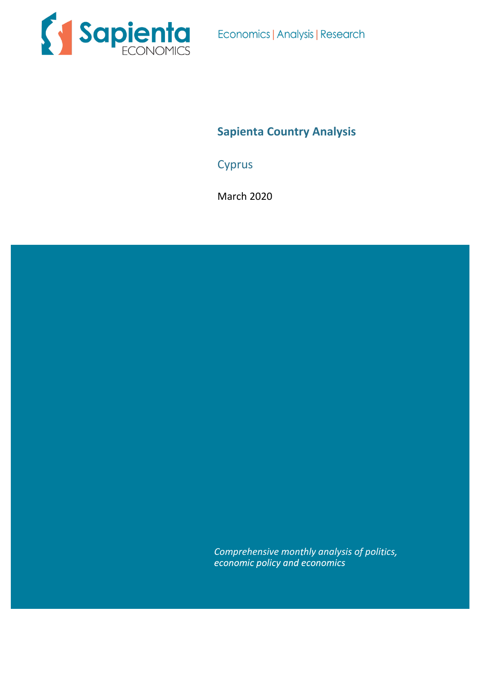

Economics | Analysis | Research

# **Sapienta Country Analysis**

**Cyprus** 

March 2020

*Comprehensive monthly analysis of politics,*<br>*economic policy and economics*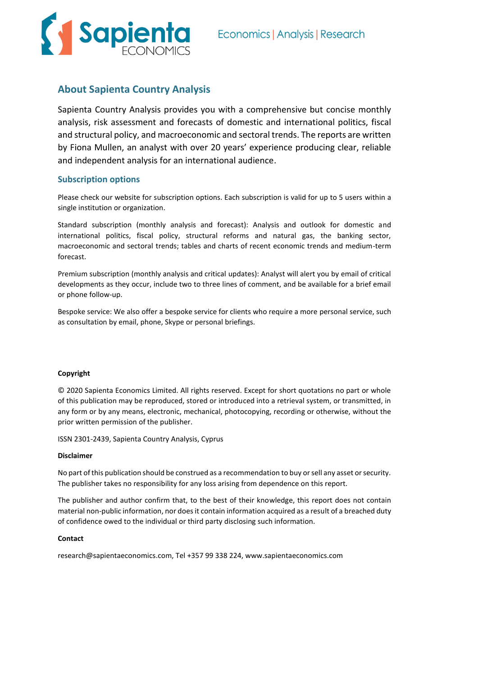

# **About Sapienta Country Analysis**

Sapienta Country Analysis provides you with a comprehensive but concise monthly analysis, risk assessment and forecasts of domestic and international politics, fiscal and structural policy, and macroeconomic and sectoral trends. The reports are written by Fiona Mullen, an analyst with over 20 years' experience producing clear, reliable and independent analysis for an international audience.

### **Subscription options**

Please check our website for subscription options. Each subscription is valid for up to 5 users within a single institution or organization.

Standard subscription (monthly analysis and forecast): Analysis and outlook for domestic and international politics, fiscal policy, structural reforms and natural gas, the banking sector, macroeconomic and sectoral trends; tables and charts of recent economic trends and medium-term forecast.

Premium subscription (monthly analysis and critical updates): Analyst will alert you by email of critical developments as they occur, include two to three lines of comment, and be available for a brief email or phone follow-up.

Bespoke service: We also offer a bespoke service for clients who require a more personal service, such as consultation by email, phone, Skype or personal briefings.

### **Copyright**

© 2020 Sapienta Economics Limited. All rights reserved. Except for short quotations no part or whole of this publication may be reproduced, stored or introduced into a retrieval system, or transmitted, in any form or by any means, electronic, mechanical, photocopying, recording or otherwise, without the prior written permission of the publisher.

ISSN 2301-2439, Sapienta Country Analysis, Cyprus

### **Disclaimer**

No part of this publication should be construed as a recommendation to buy or sell any asset or security. The publisher takes no responsibility for any loss arising from dependence on this report.

The publisher and author confirm that, to the best of their knowledge, this report does not contain material non-public information, nor does it contain information acquired as a result of a breached duty of confidence owed to the individual or third party disclosing such information.

### **Contact**

research@sapientaeconomics.com, Tel +357 99 338 224, www.sapientaeconomics.com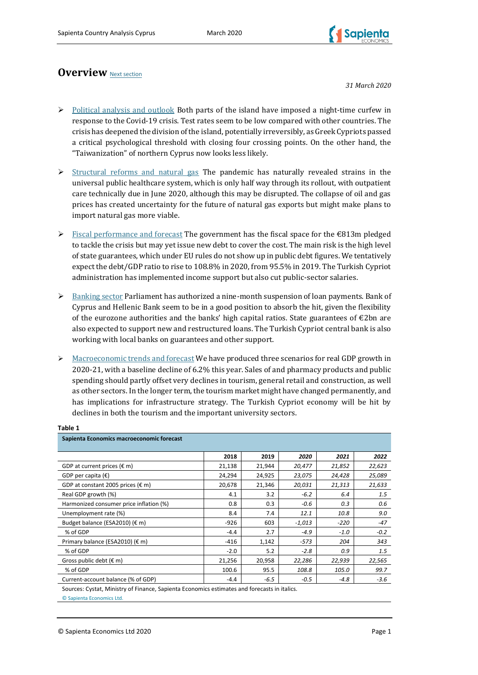

# **Overview** [Next section](#page-3-0)

*31 March 2020*

- $\triangleright$  [Political analysis and outlook](#page-3-0) Both parts of the island have imposed a night-time curfew in response to the Covid-19 crisis. Test rates seem to be low compared with other countries. The crisis has deepened the division of the island, potentially irreversibly, as Greek Cypriots passed a critical psychological threshold with closing four crossing points. On the other hand, the "Taiwanization" of northern Cyprus now looks less likely.
- $\triangleright$  [Structural reforms and natural gas](#page-6-0) The pandemic has naturally revealed strains in the universal public healthcare system, which is only half way through its rollout, with outpatient care technically due in June 2020, although this may be disrupted. The collapse of oil and gas prices has created uncertainty for the future of natural gas exports but might make plans to import natural gas more viable.
- $\triangleright$  [Fiscal performance and forecast](#page-9-0) The government has the fiscal space for the  $\epsilon$ 813m pledged to tackle the crisis but may yet issue new debt to cover the cost. The main risk is the high level of state guarantees, which under EU rules do not show up in public debt figures. We tentatively expect the debt/GDP ratio to rise to 108.8% in 2020, from 95.5% in 2019. The Turkish Cypriot administration has implemented income support but also cut public-sector salaries.
- ➢ [Banking sector](#page-15-0) Parliament has authorized a nine-month suspension of loan payments. Bank of Cyprus and Hellenic Bank seem to be in a good position to absorb the hit, given the flexibility of the eurozone authorities and the banks' high capital ratios. State guarantees of €2bn are also expected to support new and restructured loans. The Turkish Cypriot central bank is also working with local banks on guarantees and other support.
- ➢ [Macroeconomic trends and forecast](#page-19-0) We have produced three scenarios for real GDP growth in 2020-21, with a baseline decline of 6.2% this year. Sales of and pharmacy products and public spending should partly offset very declines in tourism, general retail and construction, as well as other sectors. In the longer term, the tourism market might have changed permanently, and has implications for infrastructure strategy. The Turkish Cypriot economy will be hit by declines in both the tourism and the important university sectors.

| Sapienta Economics macroeconomic forecast   |        |        |          |        |        |
|---------------------------------------------|--------|--------|----------|--------|--------|
|                                             | 2018   | 2019   | 2020     | 2021   | 2022   |
| GDP at current prices $(\epsilon m)$        | 21,138 | 21,944 | 20,477   | 21,852 | 22,623 |
| GDP per capita $(\epsilon)$                 | 24,294 | 24,925 | 23,075   | 24,428 | 25,089 |
| GDP at constant 2005 prices ( $\epsilon$ m) | 20,678 | 21,346 | 20,031   | 21,313 | 21,633 |
| Real GDP growth (%)                         | 4.1    | 3.2    | $-6.2$   | 6.4    | 1.5    |
| Harmonized consumer price inflation (%)     | 0.8    | 0.3    | $-0.6$   | 0.3    | 0.6    |
| Unemployment rate (%)                       | 8.4    | 7.4    | 12.1     | 10.8   | 9.0    |
| Budget balance (ESA2010) (€ m)              | $-926$ | 603    | $-1,013$ | $-220$ | $-47$  |
| % of GDP                                    | $-4.4$ | 2.7    | $-4.9$   | $-1.0$ | $-0.2$ |
| Primary balance (ESA2010) (€ m)             | $-416$ | 1,142  | $-573$   | 204    | 343    |
| % of GDP                                    | $-2.0$ | 5.2    | $-2.8$   | 0.9    | 1.5    |
| Gross public debt $(\epsilon m)$            | 21,256 | 20,958 | 22,286   | 22,939 | 22,565 |
| % of GDP                                    | 100.6  | 95.5   | 108.8    | 105.0  | 99.7   |
| Current-account balance (% of GDP)          | $-4.4$ | $-6.5$ | $-0.5$   | $-4.8$ | $-3.6$ |

### **Table 1**

Sources: Cystat, Ministry of Finance, Sapienta Economics estimates and forecasts in italics.

© Sapienta Economics Ltd.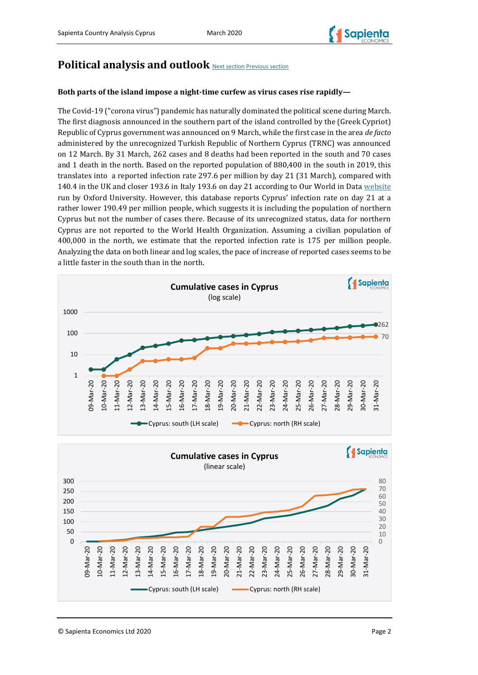

# <span id="page-3-0"></span>**Political analysis and outlook** [Next section](#page-6-0) Previous section

## **Both parts of the island impose a night-time curfew as virus cases rise rapidly—**

The Covid-19 ("corona virus") pandemic has naturally dominated the political scene during March. The first diagnosis announced in the southern part of the island controlled by the (Greek Cypriot) Republic of Cyprus government was announced on 9 March, while the first case in the area *de facto*  administered by the unrecognized Turkish Republic of Northern Cyprus (TRNC) was announced on 12 March. By 31 March, 262 cases and 8 deaths had been reported in the south and 70 cases and 1 death in the north. Based on the reported population of 880,400 in the south in 2019, this translates into a reported infection rate 297.6 per million by day 21 (31 March), compared with 140.4 in the UK and closer 193.6 in Italy 193.6 on day 21 according to Our World in Data [website](https://ourworldindata.org/grapher/covid-confirmed-cases-per-million-since-1-per-million?country=CYP) run by Oxford University. However, this database reports Cyprus' infection rate on day 21 at a rather lower 190.49 per million people, which suggests it is including the population of northern Cyprus but not the number of cases there. Because of its unrecognized status, data for northern Cyprus are not reported to the World Health Organization. Assuming a civilian population of 400,000 in the north, we estimate that the reported infection rate is 175 per million people. Analyzing the data on both linear and log scales, the pace of increase of reported cases seems to be a little faster in the south than in the north.



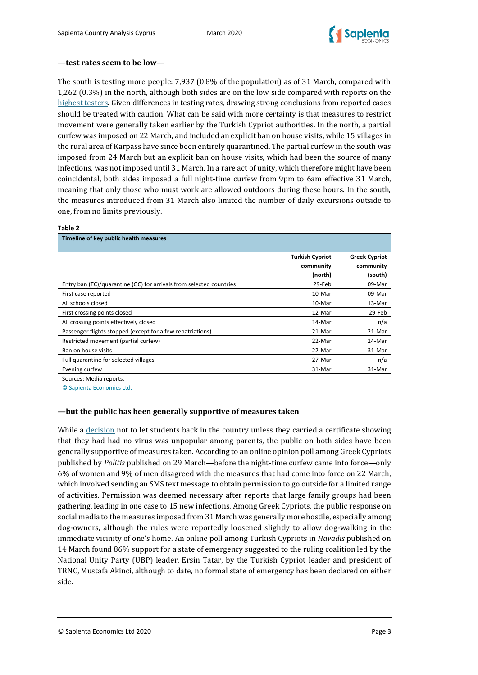

### **—test rates seem to be low—**

The south is testing more people: 7,937 (0.8% of the population) as of 31 March, compared with 1,262 (0.3%) in the north, although both sides are on the low side compared with reports on the [highest testers.](https://twitter.com/_drei/status/1245161962318651397?s=21) Given differences in testing rates, drawing strong conclusions from reported cases should be treated with caution. What can be said with more certainty is that measures to restrict movement were generally taken earlier by the Turkish Cypriot authorities. In the north, a partial curfew was imposed on 22 March, and included an explicit ban on house visits, while 15 villages in the rural area of Karpass have since been entirely quarantined. The partial curfew in the south was imposed from 24 March but an explicit ban on house visits, which had been the source of many infections, was not imposed until 31 March. In a rare act of unity, which therefore might have been coincidental, both sides imposed a full night-time curfew from 9pm to 6am effective 31 March, meaning that only those who must work are allowed outdoors during these hours. In the south, the measures introduced from 31 March also limited the number of daily excursions outside to one, from no limits previously.

#### **Table 2**

| Timeline of key public health measures                              |                                     |                                   |
|---------------------------------------------------------------------|-------------------------------------|-----------------------------------|
|                                                                     | <b>Turkish Cypriot</b><br>community | <b>Greek Cypriot</b><br>community |
| Entry ban (TC)/quarantine (GC) for arrivals from selected countries | (north)<br>29-Feb                   | (south)<br>09-Mar                 |
| First case reported                                                 | 10-Mar                              | 09-Mar                            |
| All schools closed                                                  | 10-Mar                              | 13-Mar                            |
| First crossing points closed                                        | 12-Mar                              | 29-Feb                            |
| All crossing points effectively closed                              | 14-Mar                              | n/a                               |
| Passenger flights stopped (except for a few repatriations)          | 21-Mar                              | 21-Mar                            |
| Restricted movement (partial curfew)                                | 22-Mar                              | 24-Mar                            |
| Ban on house visits                                                 | 22-Mar                              | 31-Mar                            |
| Full quarantine for selected villages                               | 27-Mar                              | n/a                               |
| Evening curfew                                                      | 31-Mar                              | 31-Mar                            |
| Sources: Media reports.                                             |                                     |                                   |

© Sapienta Economics Ltd.

### **—but the public has been generally supportive of measures taken**

While a [decision](https://cyprus-mail.com/2020/03/22/our-view-government-has-acted-decisively-despite-some-mistakes/) not to let students back in the country unless they carried a certificate showing that they had had no virus was unpopular among parents, the public on both sides have been generally supportive of measures taken. According to an online opinion poll among Greek Cypriots published by *Politis* published on 29 March—before the night-time curfew came into force—only 6% of women and 9% of men disagreed with the measures that had come into force on 22 March, which involved sending an SMS text message to obtain permission to go outside for a limited range of activities. Permission was deemed necessary after reports that large family groups had been gathering, leading in one case to 15 new infections. Among Greek Cypriots, the public response on social media to the measures imposed from 31 March was generally more hostile, especially among dog-owners, although the rules were reportedly loosened slightly to allow dog-walking in the immediate vicinity of one's home. An online poll among Turkish Cypriots in *Havadis* published on 14 March found 86% support for a state of emergency suggested to the ruling coalition led by the National Unity Party (UBP) leader, Ersin Tatar, by the Turkish Cypriot leader and president of TRNC, Mustafa Akinci, although to date, no formal state of emergency has been declared on either side.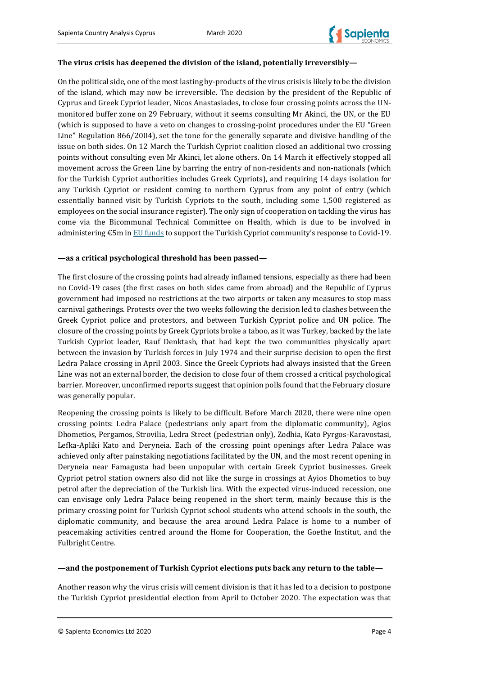

### **The virus crisis has deepened the division of the island, potentially irreversibly—**

On the political side, one of the most lasting by-products of the virus crisis is likely to be the division of the island, which may now be irreversible. The decision by the president of the Republic of Cyprus and Greek Cypriot leader, Nicos Anastasiades, to close four crossing points across the UNmonitored buffer zone on 29 February, without it seems consulting Mr Akinci, the UN, or the EU (which is supposed to have a veto on changes to crossing-point procedures under the EU "Green Line" Regulation 866/2004), set the tone for the generally separate and divisive handling of the issue on both sides. On 12 March the Turkish Cypriot coalition closed an additional two crossing points without consulting even Mr Akinci, let alone others. On 14 March it effectively stopped all movement across the Green Line by barring the entry of non-residents and non-nationals (which for the Turkish Cypriot authorities includes Greek Cypriots), and requiring 14 days isolation for any Turkish Cypriot or resident coming to northern Cyprus from any point of entry (which essentially banned visit by Turkish Cypriots to the south, including some 1,500 registered as employees on the social insurance register). The only sign of cooperation on tackling the virus has come via the Bicommunal Technical Committee on Health, which is due to be involved in administering €5m in [EU funds](https://in-cyprus.philenews.com/coronavirus-eu-to-fund-e5m-in-medical-supplies-for-turkish-cypriot-community/) to support the Turkish Cypriot community's response to Covid-19.

### **—as a critical psychological threshold has been passed—**

The first closure of the crossing points had already inflamed tensions, especially as there had been no Covid-19 cases (the first cases on both sides came from abroad) and the Republic of Cyprus government had imposed no restrictions at the two airports or taken any measures to stop mass carnival gatherings. Protests over the two weeks following the decision led to clashes between the Greek Cypriot police and protestors, and between Turkish Cypriot police and UN police. The closure of the crossing points by Greek Cypriots broke a taboo, as it was Turkey, backed by the late Turkish Cypriot leader, Rauf Denktash, that had kept the two communities physically apart between the invasion by Turkish forces in July 1974 and their surprise decision to open the first Ledra Palace crossing in April 2003. Since the Greek Cypriots had always insisted that the Green Line was not an external border, the decision to close four of them crossed a critical psychological barrier. Moreover, unconfirmed reports suggest that opinion polls found that the February closure was generally popular.

Reopening the crossing points is likely to be difficult. Before March 2020, there were nine open crossing points: Ledra Palace (pedestrians only apart from the diplomatic community), Agios Dhometios, Pergamos, Strovilia, Ledra Street (pedestrian only), Zodhia, Kato Pyrgos-Karavostasi, Lefka-Apliki Kato and Deryneia. Each of the crossing point openings after Ledra Palace was achieved only after painstaking negotiations facilitated by the UN, and the most recent opening in Deryneia near Famagusta had been unpopular with certain Greek Cypriot businesses. Greek Cypriot petrol station owners also did not like the surge in crossings at Ayios Dhometios to buy petrol after the depreciation of the Turkish lira. With the expected virus-induced recession, one can envisage only Ledra Palace being reopened in the short term, mainly because this is the primary crossing point for Turkish Cypriot school students who attend schools in the south, the diplomatic community, and because the area around Ledra Palace is home to a number of peacemaking activities centred around the Home for Cooperation, the Goethe Institut, and the Fulbright Centre.

### **—and the postponement of Turkish Cypriot elections puts back any return to the table—**

Another reason why the virus crisis will cement division is that it has led to a decision to postpone the Turkish Cypriot presidential election from April to October 2020. The expectation was that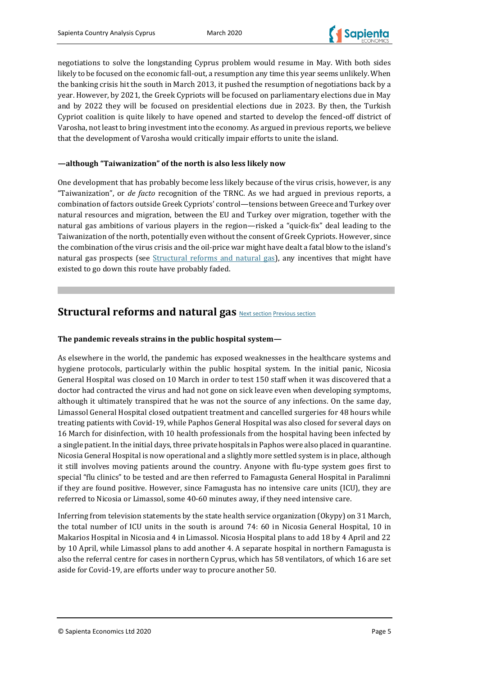

negotiations to solve the longstanding Cyprus problem would resume in May. With both sides likely to be focused on the economic fall-out, a resumption any time this year seems unlikely. When the banking crisis hit the south in March 2013, it pushed the resumption of negotiations back by a year. However, by 2021, the Greek Cypriots will be focused on parliamentary elections due in May and by 2022 they will be focused on presidential elections due in 2023. By then, the Turkish Cypriot coalition is quite likely to have opened and started to develop the fenced-off district of Varosha, not least to bring investment into the economy. As argued in previous reports, we believe that the development of Varosha would critically impair efforts to unite the island.

### **—although "Taiwanization" of the north is also less likely now**

One development that has probably become less likely because of the virus crisis, however, is any "Taiwanization", or *de facto* recognition of the TRNC. As we had argued in previous reports, a combination of factors outside Greek Cypriots' control—tensions between Greece and Turkey over natural resources and migration, between the EU and Turkey over migration, together with the natural gas ambitions of various players in the region—risked a "quick-fix" deal leading to the Taiwanization of the north, potentially even without the consent of Greek Cypriots. However, since the combination of the virus crisis and the oil-price war might have dealt a fatal blow to the island's natural gas prospects (see *Structural reforms and natural gas*), any incentives that might have existed to go down this route have probably faded.

# <span id="page-6-0"></span>**Structural reforms and natural gas** [Next section](#page-9-0) [Previous section](#page-3-0)

### **The pandemic reveals strains in the public hospital system—**

As elsewhere in the world, the pandemic has exposed weaknesses in the healthcare systems and hygiene protocols, particularly within the public hospital system. In the initial panic, Nicosia General Hospital was closed on 10 March in order to test 150 staff when it was discovered that a doctor had contracted the virus and had not gone on sick leave even when developing symptoms, although it ultimately transpired that he was not the source of any infections. On the same day, Limassol General Hospital closed outpatient treatment and cancelled surgeries for 48 hours while treating patients with Covid-19, while Paphos General Hospital was also closed for several days on 16 March for disinfection, with 10 health professionals from the hospital having been infected by a single patient. In the initial days, three private hospitals in Paphos were also placed in quarantine. Nicosia General Hospital is now operational and a slightly more settled system is in place, although it still involves moving patients around the country. Anyone with flu-type system goes first to special "flu clinics" to be tested and are then referred to Famagusta General Hospital in Paralimni if they are found positive. However, since Famagusta has no intensive care units (ICU), they are referred to Nicosia or Limassol, some 40-60 minutes away, if they need intensive care.

Inferring from television statements by the state health service organization (Okypy) on 31 March, the total number of ICU units in the south is around 74: 60 in Nicosia General Hospital, 10 in Makarios Hospital in Nicosia and 4 in Limassol. Nicosia Hospital plans to add 18 by 4 April and 22 by 10 April, while Limassol plans to add another 4. A separate hospital in northern Famagusta is also the referral centre for cases in northern Cyprus, which has 58 ventilators, of which 16 are set aside for Covid-19, are efforts under way to procure another 50.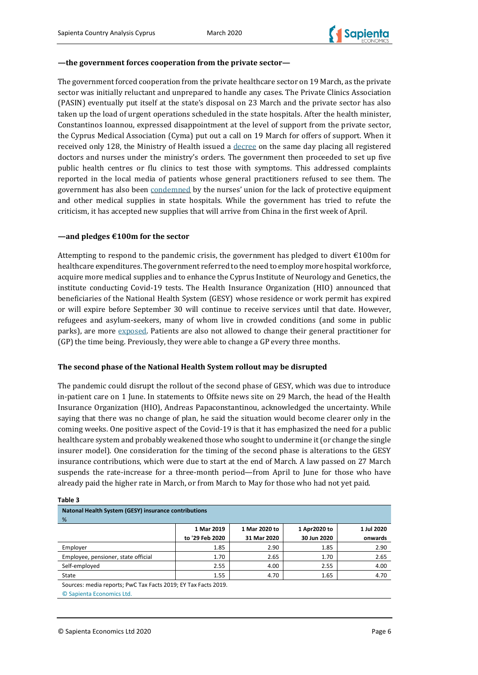### **—the government forces cooperation from the private sector—**

The government forced cooperation from the private healthcare sector on 19 March, as the private sector was initially reluctant and unprepared to handle any cases. The Private Clinics Association (PASIN) eventually put itself at the state's disposal on 23 March and the private sector has also taken up the load of urgent operations scheduled in the state hospitals. After the health minister, Constantinos Ioannou, expressed disappointment at the level of support from the private sector, the Cyprus Medical Association (Cyma) put out a call on 19 March for offers of support. When it received only 128, the Ministry of Health issued a [decree](https://cyprus-mail.com/2020/03/19/coronavirus-all-registered-doctors-and-nurses-under-ministers-orders/) on the same day placing all registered doctors and nurses under the ministry's orders. The government then proceeded to set up five public health centres or flu clinics to test those with symptoms. This addressed complaints reported in the local media of patients whose general practitioners refused to see them. The government has also been [condemned](https://in-cyprus.philenews.com/coronavirus-nurses-report-understaffing-equipment-shortages-at-public-hospitals/) by the nurses' union for the lack of protective equipment and other medical supplies in state hospitals. While the government has tried to refute the criticism, it has accepted new supplies that will arrive from China in the first week of April.

### **—and pledges €100m for the sector**

Attempting to respond to the pandemic crisis, the government has pledged to divert  $\epsilon$ 100m for healthcare expenditures. The government referred to the need to employ more hospital workforce, acquire more medical supplies and to enhance the Cyprus Institute of Neurology and Genetics, the institute conducting Covid-19 tests. The Health Insurance Organization (HIO) announced that beneficiaries of the National Health System (GESY) whose residence or work permit has expired or will expire before September 30 will continue to receive services until that date. However, refugees and asylum-seekers, many of whom live in crowded conditions (and some in public parks), are more [exposed.](https://in-cyprus.philenews.com/refugees-and-immigrants-unprotected-from-covid-19-say-ngos/) Patients are also not allowed to change their general practitioner for (GP) the time being. Previously, they were able to change a GP every three months.

### **The second phase of the National Health System rollout may be disrupted**

The pandemic could disrupt the rollout of the second phase of GESY, which was due to introduce in-patient care on 1 June. In statements to Offsite news site on 29 March, the head of the Health Insurance Organization (HIO), Andreas Papaconstantinou, acknowledged the uncertainty. While saying that there was no change of plan, he said the situation would become clearer only in the coming weeks. One positive aspect of the Covid-19 is that it has emphasized the need for a public healthcare system and probably weakened those who sought to undermine it (or change the single insurer model). One consideration for the timing of the second phase is alterations to the GESY insurance contributions, which were due to start at the end of March. A law passed on 27 March suspends the rate-increase for a three-month period—from April to June for those who have already paid the higher rate in March, or from March to May for those who had not yet paid.

| Natonal Health System (GESY) insurance contributions |                 |               |              |            |
|------------------------------------------------------|-----------------|---------------|--------------|------------|
| %                                                    |                 |               |              |            |
|                                                      | 1 Mar 2019      | 1 Mar 2020 to | 1 Apr2020 to | 1 Jul 2020 |
|                                                      | to '29 Feb 2020 | 31 Mar 2020   | 30 Jun 2020  | onwards    |
| Employer                                             | 1.85            | 2.90          | 1.85         | 2.90       |
| Employee, pensioner, state official                  | 1.70            | 2.65          | 1.70         | 2.65       |
| Self-employed                                        | 2.55            | 4.00          | 2.55         | 4.00       |
| <b>State</b>                                         | 1.55            | 4.70          | 1.65         | 4.70       |
|                                                      | $   -$          |               |              |            |

Sources: media reports; PwC Tax Facts 2019; EY Tax Facts 2019.

© Sapienta Economics Ltd.

**Table 3**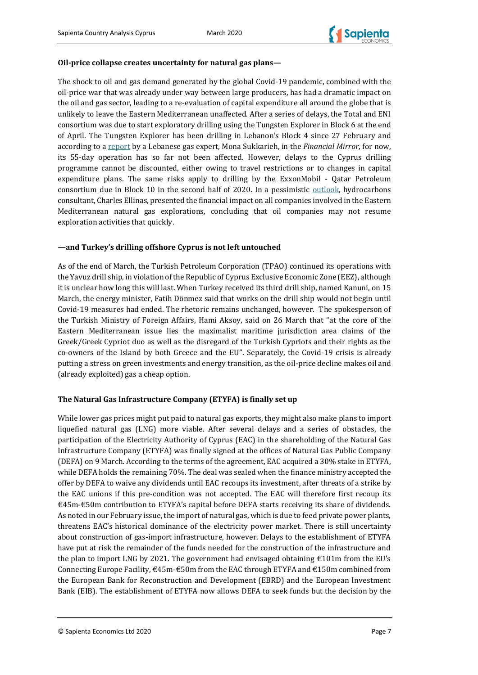## **Oil-price collapse creates uncertainty for natural gas plans—**

The shock to oil and gas demand generated by the global Covid-19 pandemic, combined with the oil-price war that was already under way between large producers, has had a dramatic impact on the oil and gas sector, leading to a re-evaluation of capital expenditure all around the globe that is unlikely to leave the Eastern Mediterranean unaffected. After a series of delays, the Total and ENI consortium was due to start exploratory drilling using the Tungsten Explorer in Block 6 at the end of April. The Tungsten Explorer has been drilling in Lebanon's Block 4 since 27 February and according to a [report](https://www.financialmirror.com/2020/03/30/covid19-lebanese-oil-and-gas-sector-feeling-the-strain/) by a Lebanese gas expert, Mona Sukkarieh, in the *Financial Mirror*, for now, its 55-day operation has so far not been affected. However, delays to the Cyprus drilling programme cannot be discounted, either owing to travel restrictions or to changes in capital expenditure plans. The same risks apply to drilling by the ExxonMobil - Qatar Petroleum consortium due in Block 10 in the second half of 2020. In a pessimistic [outlook,](https://cyprus-mail.com/2020/03/29/oil-and-gas-companies-on-the-retreat/) hydrocarbons consultant, Charles Ellinas, presented the financial impact on all companies involved in the Eastern Mediterranean natural gas explorations, concluding that oil companies may not resume exploration activities that quickly.

### **—and Turkey's drilling offshore Cyprus is not left untouched**

As of the end of March, the Turkish Petroleum Corporation (TPAO) continued its operations with the Yavuz drill ship, in violation of the Republic of Cyprus Exclusive Economic Zone (EEZ), although it is unclear how long this will last. When Turkey received its third drill ship, named Kanuni, on 15 March, the energy minister, Fatih Dönmez said that works on the drill ship would not begin until Covid-19 measures had ended. The rhetoric remains unchanged, however. The spokesperson of the Turkish Ministry of Foreign Affairs, Hami Aksoy, said on 26 March that "at the core of the Eastern Mediterranean issue lies the maximalist maritime jurisdiction area claims of the Greek/Greek Cypriot duo as well as the disregard of the Turkish Cypriots and their rights as the co-owners of the Island by both Greece and the EU". Separately, the Covid-19 crisis is already putting a stress on green investments and energy transition, as the oil-price decline makes oil and (already exploited) gas a cheap option.

### **The Natural Gas Infrastructure Company (ETYFA) is finally set up**

While lower gas prices might put paid to natural gas exports, they might also make plans to import liquefied natural gas (LNG) more viable. After several delays and a series of obstacles, the participation of the Electricity Authority of Cyprus (EAC) in the shareholding of the Natural Gas Infrastructure Company (ETYFA) was finally signed at the offices of Natural Gas Public Company (DEFA) on 9 March. According to the terms of the agreement, EAC acquired a 30% stake in ETYFA, while DEFA holds the remaining 70%. The deal was sealed when the finance ministry accepted the offer by DEFA to waive any dividends until EAC recoups its investment, after threats of a strike by the EAC unions if this pre-condition was not accepted. The EAC will therefore first recoup its €45m-€50m contribution to ETYFA's capital before DEFA starts receiving its share of dividends. As noted in our February issue, the import of natural gas, which is due to feed private power plants, threatens EAC's historical dominance of the electricity power market. There is still uncertainty about construction of gas-import infrastructure, however. Delays to the establishment of ETYFA have put at risk the remainder of the funds needed for the construction of the infrastructure and the plan to import LNG by 2021. The government had envisaged obtaining  $\epsilon$ 101m from the EU's Connecting Europe Facility,  $\epsilon$ 45m- $\epsilon$ 50m from the EAC through ETYFA and  $\epsilon$ 150m combined from the European Bank for Reconstruction and Development (EBRD) and the European Investment Bank (EIB). The establishment of ETYFA now allows DEFA to seek funds but the decision by the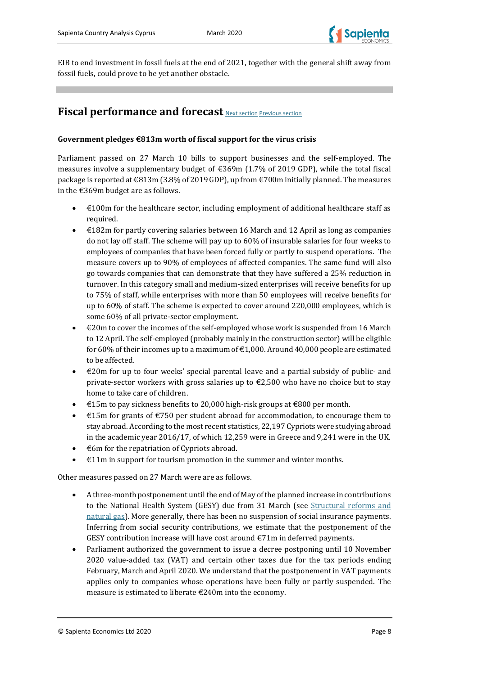

EIB to end investment in fossil fuels at the end of 2021, together with the general shift away from fossil fuels, could prove to be yet another obstacle.

# <span id="page-9-0"></span>**Fiscal performance and forecast** [Next section](#page-15-0) [Previous section](#page-6-0)

### **Government pledges €813m worth of fiscal support for the virus crisis**

Parliament passed on 27 March 10 bills to support businesses and the self-employed. The measures involve a supplementary budget of  $\epsilon$ 369m (1.7% of 2019 GDP), while the total fiscal package is reported at €813m (3.8% of 2019 GDP), up from €700m initially planned. The measures in the €369m budget are as follows.

- $\bullet$   $\in$  100m for the healthcare sector, including employment of additional healthcare staff as required.
- $\bullet$   $\in$  182m for partly covering salaries between 16 March and 12 April as long as companies do not lay off staff. The scheme will pay up to 60% of insurable salaries for four weeks to employees of companies that have been forced fully or partly to suspend operations. The measure covers up to 90% of employees of affected companies. The same fund will also go towards companies that can demonstrate that they have suffered a 25% reduction in turnover. In this category small and medium-sized enterprises will receive benefits for up to 75% of staff, while enterprises with more than 50 employees will receive benefits for up to 60% of staff. The scheme is expected to cover around 220,000 employees, which is some 60% of all private-sector employment.
- €20m to cover the incomes of the self-employed whose work is suspended from 16 March to 12 April. The self-employed (probably mainly in the construction sector) will be eligible for 60% of their incomes up to a maximum of  $\epsilon$ 1,000. Around 40,000 people are estimated to be affected.
- €20m for up to four weeks' special parental leave and a partial subsidy of public- and private-sector workers with gross salaries up to  $\epsilon$ 2,500 who have no choice but to stay home to take care of children.
- €15m to pay sickness benefits to 20,000 high-risk groups at €800 per month.
- $\epsilon$ 15m for grants of  $\epsilon$ 750 per student abroad for accommodation, to encourage them to stay abroad. According to the most recent statistics, 22,197 Cypriots were studying abroad in the academic year 2016/17, of which 12,259 were in Greece and 9,241 were in the UK.
- $\epsilon$ 6m for the repatriation of Cypriots abroad.
- €11m in support for tourism promotion in the summer and winter months.

Other measures passed on 27 March were are as follows.

- A three-month postponement until the end of May of the planned increase in contributions to the National Health System (GESY) due from 31 March (see [Structural reforms and](#page-6-0)  [natural gas\)](#page-6-0). More generally, there has been no suspension of social insurance payments. Inferring from social security contributions, we estimate that the postponement of the GESY contribution increase will have cost around €71m in deferred payments.
- Parliament authorized the government to issue a decree postponing until 10 November 2020 value-added tax (VAT) and certain other taxes due for the tax periods ending February, March and April 2020. We understand that the postponement in VAT payments applies only to companies whose operations have been fully or partly suspended. The measure is estimated to liberate €240m into the economy.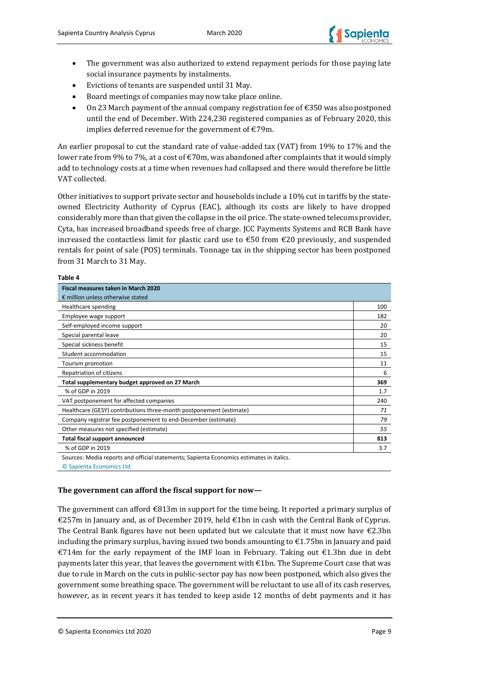

- The government was also authorized to extend repayment periods for those paying late social insurance payments by instalments.
- Evictions of tenants are suspended until 31 May.
- Board meetings of companies may now take place online.
- On 23 March payment of the annual company registration fee of  $\epsilon$ 350 was also postponed until the end of December. With 224,230 registered companies as of February 2020, this implies deferred revenue for the government of €79m.

An earlier proposal to cut the standard rate of value-added tax (VAT) from 19% to 17% and the lower rate from 9% to 7%, at a cost of €70m, was abandoned after complaints that it would simply add to technology costs at a time when revenues had collapsed and there would therefore be little VAT collected.

Other initiatives to support private sector and households include a 10% cut in tariffs by the stateowned Electricity Authority of Cyprus (EAC), although its costs are likely to have dropped considerably more than that given the collapse in the oil price. The state-owned telecoms provider, Cyta, has increased broadband speeds free of charge. JCC Payments Systems and RCB Bank have increased the contactless limit for plastic card use to  $\text{\textsterling}50$  from  $\text{\textsterling}20$  previously, and suspended rentals for point of sale (POS) terminals. Tonnage tax in the shipping sector has been postponed from 31 March to 31 May.

#### **Table 4**

| <b>Fiscal measures taken in March 2020</b>                                               |     |
|------------------------------------------------------------------------------------------|-----|
| $\epsilon$ million unless otherwise stated                                               |     |
| Healthcare spending                                                                      | 100 |
| Employee wage support                                                                    | 182 |
| Self-employed income support                                                             | 20  |
| Special parental leave                                                                   | 20  |
| Special sickness benefit                                                                 | 15  |
| Student accommodation                                                                    | 15  |
| Tourism promotion                                                                        | 11  |
| Repatriation of citizens                                                                 | 6   |
| Total supplementary budget approved on 27 March                                          | 369 |
| % of GDP in 2019                                                                         | 1.7 |
| VAT postponement for affected companies                                                  | 240 |
| Healthcare (GESY) contributions three-month postponement (estimate)                      | 71  |
| Company registrar fee postponement to end-December (estimate)                            | 79  |
| Other measures not specified (estimate)                                                  | 55  |
| Total fiscal support announced                                                           | 813 |
| % of GDP in 2019                                                                         | 3.7 |
| Sources: Media reports and official statements; Sapienta Economics estimates in italics. |     |

© Sapienta Economics Ltd.

### **The government can afford the fiscal support for now—**

The government can afford  $\epsilon$ 813m in support for the time being. It reported a primary surplus of €257m in January and, as of December 2019, held €1bn in cash with the Central Bank of Cyprus. The Central Bank figures have not been updated but we calculate that it must now have  $\epsilon$ 2.3bn including the primary surplus, having issued two bonds amounting to  $\epsilon$ 1.75bn in January and paid €714m for the early repayment of the IMF loan in February. Taking out  $€1.3$ bn due in debt payments later this year, that leaves the government with  $\epsilon$ 1bn. The Supreme Court case that was due to rule in March on the cuts in public-sector pay has now been postponed, which also gives the government some breathing space. The government will be reluctant to use all of its cash reserves, however, as in recent years it has tended to keep aside 12 months of debt payments and it has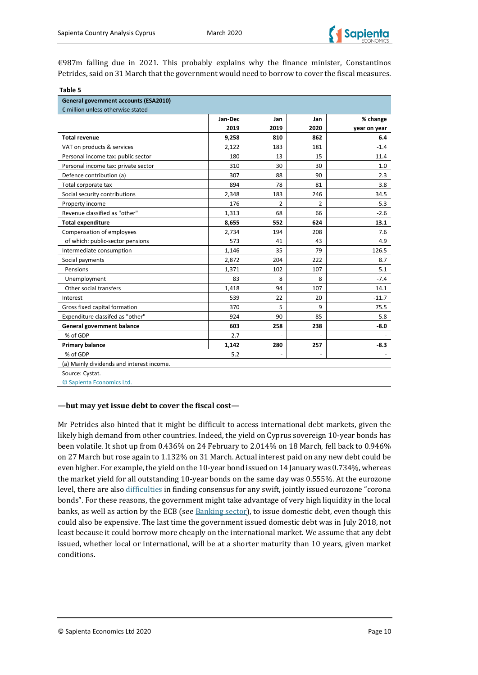

€987m falling due in 2021. This probably explains why the finance minister, Constantinos Petrides, said on 31 March that the government would need to borrow to cover the fiscal measures.

| <b>General government accounts (ESA2010)</b> |         |                |                              |              |
|----------------------------------------------|---------|----------------|------------------------------|--------------|
| € million unless otherwise stated            |         |                |                              |              |
|                                              | Jan-Dec | Jan            | Jan                          | % change     |
|                                              | 2019    | 2019           | 2020                         | year on year |
| <b>Total revenue</b>                         | 9,258   | 810            | 862                          | 6.4          |
| VAT on products & services                   | 2,122   | 183            | 181                          | $-1.4$       |
| Personal income tax: public sector           | 180     | 13             | 15                           | 11.4         |
| Personal income tax: private sector          | 310     | 30             | 30                           | 1.0          |
| Defence contribution (a)                     | 307     | 88             | 90                           | 2.3          |
| Total corporate tax                          | 894     | 78             | 81                           | 3.8          |
| Social security contributions                | 2,348   | 183            | 246                          | 34.5         |
| Property income                              | 176     | $\overline{2}$ | 2                            | $-5.3$       |
| Revenue classified as "other"                | 1,313   | 68             | 66                           | $-2.6$       |
| <b>Total expenditure</b>                     | 8,655   | 552            | 624                          | 13.1         |
| Compensation of employees                    | 2,734   | 194            | 208                          | 7.6          |
| of which: public-sector pensions             | 573     | 41             | 43                           | 4.9          |
| Intermediate consumption                     | 1,146   | 35             | 79                           | 126.5        |
| Social payments                              | 2,872   | 204            | 222                          | 8.7          |
| Pensions                                     | 1,371   | 102            | 107                          | 5.1          |
| Unemployment                                 | 83      | 8              | 8                            | $-7.4$       |
| Other social transfers                       | 1,418   | 94             | 107                          | 14.1         |
| Interest                                     | 539     | 22             | 20                           | $-11.7$      |
| Gross fixed capital formation                | 370     | 5              | 9                            | 75.5         |
| Expenditure classifed as "other"             | 924     | 90             | 85                           | $-5.8$       |
| General government balance                   | 603     | 258            | 238                          | $-8.0$       |
| % of GDP                                     | 2.7     | $\overline{a}$ | $\qquad \qquad \blacksquare$ |              |
| <b>Primary balance</b>                       | 1,142   | 280            | 257                          | $-8.3$       |
| % of GDP                                     | 5.2     |                |                              |              |
| (a) Mainly dividends and interest income.    |         |                |                              |              |

© Sapienta Economics Ltd.

#### **—but may yet issue debt to cover the fiscal cost—**

Mr Petrides also hinted that it might be difficult to access international debt markets, given the likely high demand from other countries. Indeed, the yield on Cyprus sovereign 10-year bonds has been volatile. It shot up from 0.436% on 24 February to 2.014% on 18 March, fell back to 0.946% on 27 March but rose again to 1.132% on 31 March. Actual interest paid on any new debt could be even higher. For example, the yield on the 10-year bond issued on 14 January was 0.734%, whereas the market yield for all outstanding 10-year bonds on the same day was 0.555%. At the eurozone level, there are also [difficulties](https://www.ft.com/content/865ced7d-1e33-463e-a04c-6be7fd21cda7) in finding consensus for any swift, jointly issued eurozone "corona bonds". For these reasons, the government might take advantage of very high liquidity in the local banks, as well as action by the ECB (se[e Banking sector\)](#page-15-0), to issue domestic debt, even though this could also be expensive. The last time the government issued domestic debt was in July 2018, not least because it could borrow more cheaply on the international market. We assume that any debt issued, whether local or international, will be at a shorter maturity than 10 years, given market conditions.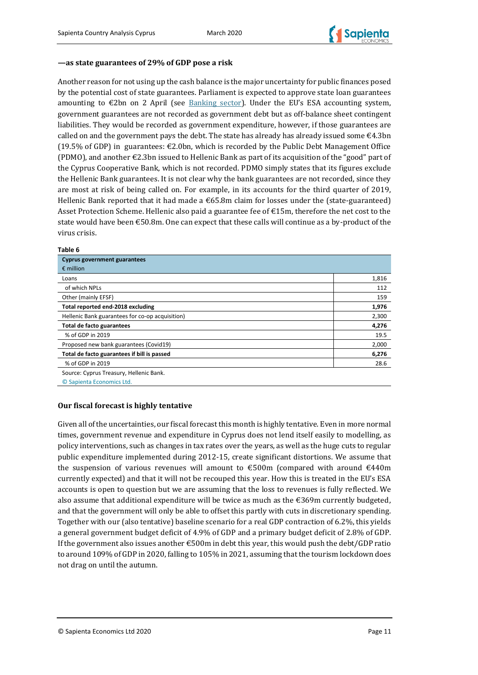

### **—as state guarantees of 29% of GDP pose a risk**

Another reason for not using up the cash balance is the major uncertainty for public finances posed by the potential cost of state guarantees. Parliament is expected to approve state loan guarantees amounting to  $\epsilon$ 2bn on 2 April (see [Banking sector\)](#page-15-0). Under the EU's ESA accounting system, government guarantees are not recorded as government debt but as off-balance sheet contingent liabilities. They would be recorded as government expenditure, however, if those guarantees are called on and the government pays the debt. The state has already has already issued some €4.3bn (19.5% of GDP) in guarantees:  $\epsilon$ 2.0bn, which is recorded by the Public Debt Management Office (PDMO), and another €2.3bn issued to Hellenic Bank as part of its acquisition of the "good" part of the Cyprus Cooperative Bank, which is not recorded. PDMO simply states that its figures exclude the Hellenic Bank guarantees. It is not clear why the bank guarantees are not recorded, since they are most at risk of being called on. For example, in its accounts for the third quarter of 2019, Hellenic Bank reported that it had made a  $\epsilon$ 65.8m claim for losses under the (state-guaranteed) Asset Protection Scheme. Hellenic also paid a guarantee fee of  $\epsilon$ 15m, therefore the net cost to the state would have been  $\epsilon$ 50.8m. One can expect that these calls will continue as a by-product of the virus crisis.

#### **Table 6**

| <b>Cyprus government guarantees</b>             |       |
|-------------------------------------------------|-------|
| $\epsilon$ million                              |       |
| Loans                                           | 1,816 |
| of which NPLs                                   | 112   |
| Other (mainly EFSF)                             | 159   |
| Total reported end-2018 excluding               | 1,976 |
| Hellenic Bank guarantees for co-op acquisition) | 2,300 |
| Total de facto guarantees                       | 4,276 |
| % of GDP in 2019                                | 19.5  |
| Proposed new bank guarantees (Covid19)          | 2,000 |
| Total de facto guarantees if bill is passed     | 6,276 |
| % of GDP in 2019                                | 28.6  |
| Source: Cyprus Treasury, Hellenic Bank.         |       |
| © Sapienta Economics Ltd.                       |       |

### **Our fiscal forecast is highly tentative**

Given all of the uncertainties, our fiscal forecast this month is highly tentative. Even in more normal times, government revenue and expenditure in Cyprus does not lend itself easily to modelling, as policy interventions, such as changes in tax rates over the years, as well as the huge cuts to regular public expenditure implemented during 2012-15, create significant distortions. We assume that the suspension of various revenues will amount to  $\epsilon$ 500m (compared with around  $\epsilon$ 440m currently expected) and that it will not be recouped this year. How this is treated in the EU's ESA accounts is open to question but we are assuming that the loss to revenues is fully reflected. We also assume that additional expenditure will be twice as much as the  $\epsilon$ 369m currently budgeted, and that the government will only be able to offset this partly with cuts in discretionary spending. Together with our (also tentative) baseline scenario for a real GDP contraction of 6.2%, this yields a general government budget deficit of 4.9% of GDP and a primary budget deficit of 2.8% of GDP. If the government also issues another €500m in debt this year, this would push the debt/GDP ratio to around 109% of GDP in 2020, falling to 105% in 2021, assuming that the tourism lockdown does not drag on until the autumn.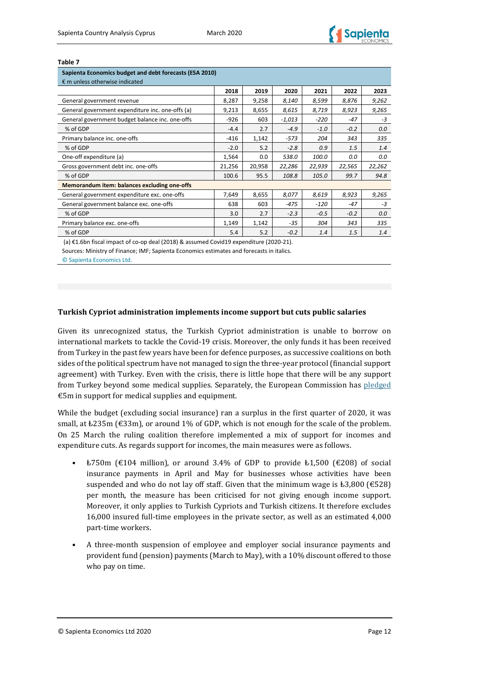#### **Table 7**

| Sapienta Economics budget and debt forecasts (ESA 2010) |        |        |          |        |        |        |
|---------------------------------------------------------|--------|--------|----------|--------|--------|--------|
| $\epsilon$ m unless otherwise indicated                 |        |        |          |        |        |        |
|                                                         | 2018   | 2019   | 2020     | 2021   | 2022   | 2023   |
| General government revenue                              | 8,287  | 9,258  | 8,140    | 8,599  | 8,876  | 9,262  |
| General government expenditure inc. one-offs (a)        | 9,213  | 8,655  | 8,615    | 8,719  | 8,923  | 9,265  |
| General government budget balance inc. one-offs         | $-926$ | 603    | $-1,013$ | $-220$ | $-47$  | $-3$   |
| % of GDP                                                | $-4.4$ | 2.7    | $-4.9$   | $-1.0$ | $-0.2$ | 0.0    |
| Primary balance inc. one-offs                           | $-416$ | 1,142  | $-573$   | 204    | 343    | 335    |
| % of GDP                                                | $-2.0$ | 5.2    | $-2.8$   | 0.9    | 1.5    | 1.4    |
| One-off expenditure (a)                                 | 1,564  | 0.0    | 538.0    | 100.0  | 0.0    | 0.0    |
| Gross government debt inc. one-offs                     | 21,256 | 20,958 | 22,286   | 22,939 | 22,565 | 22,262 |
| % of GDP                                                | 100.6  | 95.5   | 108.8    | 105.0  | 99.7   | 94.8   |
| Memorandum item: balances excluding one-offs            |        |        |          |        |        |        |
| General government expenditure exc. one-offs            | 7,649  | 8,655  | 8,077    | 8,619  | 8,923  | 9,265  |
| General government balance exc. one-offs                | 638    | 603    | $-475$   | $-120$ | $-47$  | $-3$   |
| % of GDP                                                | 3.0    | 2.7    | $-2.3$   | $-0.5$ | $-0.2$ | 0.0    |
| Primary balance exc. one-offs                           | 1,149  | 1,142  | $-35$    | 304    | 343    | 335    |
| % of GDP                                                | 5.4    | 5.2    | $-0.2$   | 1.4    | 1.5    | 1.4    |

(a) €1.6bn fiscal impact of co-op deal (2018) & assumed Covid19 expenditure (2020-21).

Sources: Ministry of Finance; IMF; Sapienta Economics estimates and forecasts in italics.

© Sapienta Economics Ltd.

### **Turkish Cypriot administration implements income support but cuts public salaries**

Given its unrecognized status, the Turkish Cypriot administration is unable to borrow on international markets to tackle the Covid-19 crisis. Moreover, the only funds it has been received from Turkey in the past few years have been for defence purposes, as successive coalitions on both sides of the political spectrum have not managed to sign the three-year protocol (financial support agreement) with Turkey. Even with the crisis, there is little hope that there will be any support from Turkey beyond some medical supplies. Separately, the European Commission has [pledged](https://cyprus-mail.com/2020/03/23/ec-funds-provision-of-medical-equipment-and-supplies-to-the-turkish-cypriots/) €5m in support for medical supplies and equipment.

While the budget (excluding social insurance) ran a surplus in the first quarter of 2020, it was small, at  $\text{\&}235\text{m}$  ( $\text{\&}33\text{m}$ ), or around 1% of GDP, which is not enough for the scale of the problem. On 25 March the ruling coalition therefore implemented a mix of support for incomes and expenditure cuts. As regards support for incomes, the main measures were as follows.

- $\text{\#}750\text{m}$  ( $\text{\#}104$  million), or around 3.4% of GDP to provide  $\text{\#}1.500$  ( $\text{\#}208$ ) of social insurance payments in April and May for businesses whose activities have been suspended and who do not lay off staff. Given that the minimum wage is  $\text{\pounds}3,800$  ( $\text{\pounds}528$ ) per month, the measure has been criticised for not giving enough income support. Moreover, it only applies to Turkish Cypriots and Turkish citizens. It therefore excludes 16,000 insured full-time employees in the private sector, as well as an estimated 4,000 part-time workers.
- A three-month suspension of employee and employer social insurance payments and provident fund (pension) payments (March to May), with a 10% discount offered to those who pay on time.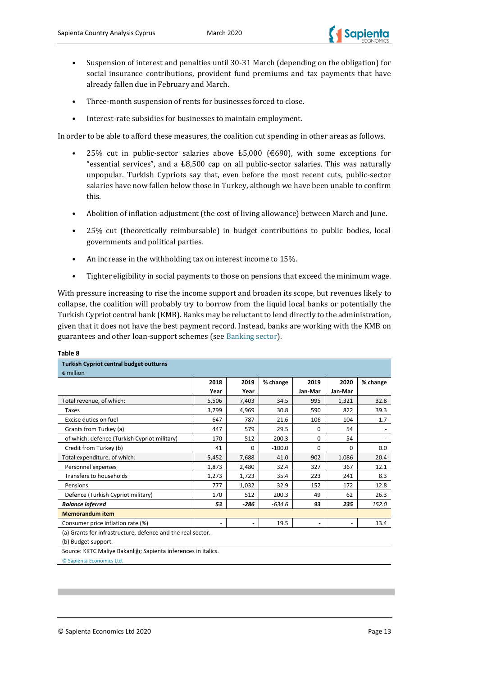

- Suspension of interest and penalties until 30-31 March (depending on the obligation) for social insurance contributions, provident fund premiums and tax payments that have already fallen due in February and March.
- Three-month suspension of rents for businesses forced to close.
- Interest-rate subsidies for businesses to maintain employment.

In order to be able to afford these measures, the coalition cut spending in other areas as follows.

- 25% cut in public-sector salaries above  $\text{\pounds}5,000$  ( $\text{\pounds}690$ ), with some exceptions for "essential services", and a  $\text{\pounds}8.500$  cap on all public-sector salaries. This was naturally unpopular. Turkish Cypriots say that, even before the most recent cuts, public-sector salaries have now fallen below those in Turkey, although we have been unable to confirm this.
- Abolition of inflation-adjustment (the cost of living allowance) between March and June.
- 25% cut (theoretically reimbursable) in budget contributions to public bodies, local governments and political parties.
- An increase in the withholding tax on interest income to 15%.
- Tighter eligibility in social payments to those on pensions that exceed the minimum wage.

With pressure increasing to rise the income support and broaden its scope, but revenues likely to collapse, the coalition will probably try to borrow from the liquid local banks or potentially the Turkish Cypriot central bank (KMB). Banks may be reluctant to lend directly to the administration, given that it does not have the best payment record. Instead, banks are working with the KMB on guarantees and other loan-support schemes (see [Banking sector\)](#page-15-0).

| <b>Turkish Cypriot central budget outturns</b>                 |                          |       |          |                          |         |          |
|----------------------------------------------------------------|--------------------------|-------|----------|--------------------------|---------|----------|
| <b>も</b> million                                               |                          |       |          |                          |         |          |
|                                                                | 2018                     | 2019  | % change | 2019                     | 2020    | % change |
|                                                                | Year                     | Year  |          | Jan-Mar                  | Jan-Mar |          |
| Total revenue, of which:                                       | 5,506                    | 7,403 | 34.5     | 995                      | 1,321   | 32.8     |
| Taxes                                                          | 3,799                    | 4,969 | 30.8     | 590                      | 822     | 39.3     |
| Excise duties on fuel                                          | 647                      | 787   | 21.6     | 106                      | 104     | $-1.7$   |
| Grants from Turkey (a)                                         | 447                      | 579   | 29.5     | $\Omega$                 | 54      |          |
| of which: defence (Turkish Cypriot military)                   | 170                      | 512   | 200.3    | 0                        | 54      |          |
| Credit from Turkey (b)                                         | 41                       | 0     | $-100.0$ | 0                        | 0       | 0.0      |
| Total expenditure, of which:                                   | 5,452                    | 7,688 | 41.0     | 902                      | 1,086   | 20.4     |
| Personnel expenses                                             | 1,873                    | 2,480 | 32.4     | 327                      | 367     | 12.1     |
| Transfers to households                                        | 1,273                    | 1,723 | 35.4     | 223                      | 241     | 8.3      |
| Pensions                                                       | 777                      | 1,032 | 32.9     | 152                      | 172     | 12.8     |
| Defence (Turkish Cypriot military)                             | 170                      | 512   | 200.3    | 49                       | 62      | 26.3     |
| <b>Balance inferred</b>                                        | 53                       | -286  | $-634.6$ | 93                       | 235     | 152.0    |
| <b>Memorandum item</b>                                         |                          |       |          |                          |         |          |
| Consumer price inflation rate (%)                              | $\overline{\phantom{a}}$ |       | 19.5     | $\overline{\phantom{a}}$ |         | 13.4     |
| (a) Grants for infrastructure, defence and the real sector.    |                          |       |          |                          |         |          |
| (b) Budget support.                                            |                          |       |          |                          |         |          |
| Source: KKTC Maliye Bakanlığı; Sapienta inferences in italics. |                          |       |          |                          |         |          |

c

#### **Table 8**

© Sapienta Economics Ltd.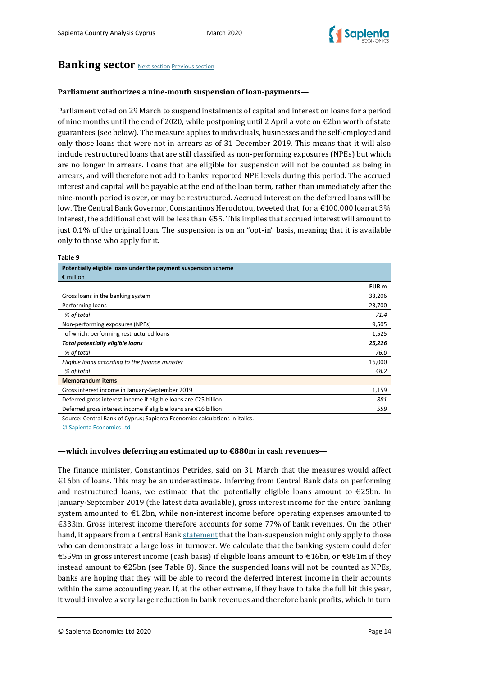

# <span id="page-15-0"></span>**Banking sector** [Next section](#page-19-0) [Previous section](#page-9-0)

### **Parliament authorizes a nine-month suspension of loan-payments—**

Parliament voted on 29 March to suspend instalments of capital and interest on loans for a period of nine months until the end of 2020, while postponing until 2 April a vote on  $\epsilon$ 2bn worth of state guarantees (see below). The measure applies to individuals, businesses and the self-employed and only those loans that were not in arrears as of 31 December 2019. This means that it will also include restructured loans that are still classified as non-performing exposures (NPEs) but which are no longer in arrears. Loans that are eligible for suspension will not be counted as being in arrears, and will therefore not add to banks' reported NPE levels during this period. The accrued interest and capital will be payable at the end of the loan term, rather than immediately after the nine-month period is over, or may be restructured. Accrued interest on the deferred loans will be low. The Central Bank Governor, Constantinos Herodotou, tweeted that, for a €100,000 loan at 3% interest, the additional cost will be less than €55. This implies that accrued interest will amount to just 0.1% of the original loan. The suspension is on an "opt-in" basis, meaning that it is available only to those who apply for it.

#### **Table 9**

| Potentially eligible loans under the payment suspension scheme              |        |
|-----------------------------------------------------------------------------|--------|
| $\epsilon$ million                                                          |        |
|                                                                             | EUR m  |
| Gross loans in the banking system                                           | 33,206 |
| Performing loans                                                            | 23,700 |
| % of total                                                                  | 71.4   |
| Non-performing exposures (NPEs)                                             | 9,505  |
| of which: performing restructured loans                                     | 1,525  |
| Total potentially eligible loans                                            | 25,226 |
| % of total                                                                  | 76.0   |
| Eligible loans according to the finance minister                            | 16,000 |
| % of total                                                                  | 48.2   |
| <b>Memorandum items</b>                                                     |        |
| Gross interest income in January-September 2019                             | 1,159  |
| Deferred gross interest income if eligible loans are €25 billion            | 881    |
| Deferred gross interest income if eligible loans are €16 billion            | 559    |
| Source: Central Bank of Cyprus; Sapienta Economics calculations in italics. |        |
|                                                                             |        |

© Sapienta Economics Ltd

### **—which involves deferring an estimated up to €880m in cash revenues—**

The finance minister, Constantinos Petrides, said on 31 March that the measures would affect €16bn of loans. This may be an underestimate. Inferring from Central Bank data on performing and restructured loans, we estimate that the potentially eligible loans amount to  $\epsilon$ 25bn. In January-September 2019 (the latest data available), gross interest income for the entire banking system amounted to €1.2bn, while non-interest income before operating expenses amounted to €333m. Gross interest income therefore accounts for some 77% of bank revenues. On the other hand, it appears from a Central Ban[k statement](https://www.centralbank.cy/images/media/redirectfile/Governor/Οι-περί-των-Διαδικασιών-Χορήγησης-Νέων-και-Αναθεώρησης-Υφιστάμενων-Πιστωτικών-Διευκολύνσεων-Οδηγίες-του-2016-έως-2020.pdf) that the loan-suspension might only apply to those who can demonstrate a large loss in turnover. We calculate that the banking system could defer €559m in gross interest income (cash basis) if eligible loans amount to €16bn, or €881m if they instead amount to €25bn (see Table 8). Since the suspended loans will not be counted as NPEs, banks are hoping that they will be able to record the deferred interest income in their accounts within the same accounting year. If, at the other extreme, if they have to take the full hit this year, it would involve a very large reduction in bank revenues and therefore bank profits, which in turn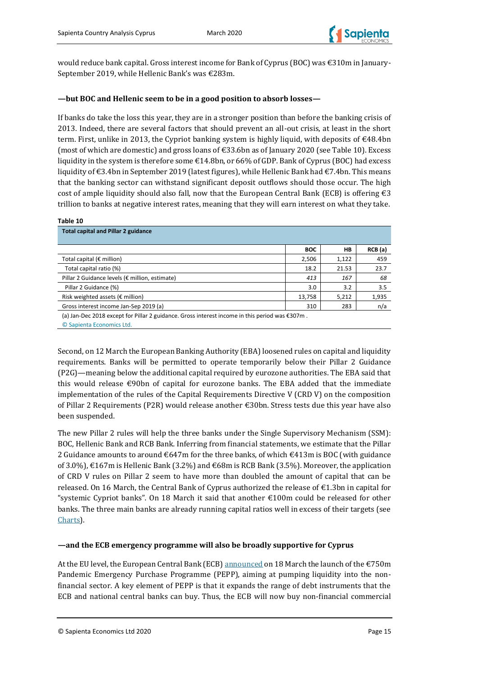

would reduce bank capital. Gross interest income for Bank of Cyprus (BOC) was €310m in January-September 2019, while Hellenic Bank's was €283m.

### **—but BOC and Hellenic seem to be in a good position to absorb losses—**

If banks do take the loss this year, they are in a stronger position than before the banking crisis of 2013. Indeed, there are several factors that should prevent an all-out crisis, at least in the short term. First, unlike in 2013, the Cypriot banking system is highly liquid, with deposits of  $\epsilon$ 48.4bn (most of which are domestic) and gross loans of  $\epsilon$ 33.6bn as of January 2020 (see Table 10). Excess liquidity in the system is therefore some €14.8bn, or 66% of GDP. Bank of Cyprus (BOC) had excess liquidity of €3.4bn in September 2019 (latest figures), while Hellenic Bank had €7.4bn. This means that the banking sector can withstand significant deposit outflows should those occur. The high cost of ample liquidity should also fall, now that the European Central Bank (ECB) is offering  $\epsilon$ 3 trillion to banks at negative interest rates, meaning that they will earn interest on what they take.

#### **Table 10**

| <b>Total capital and Pillar 2 guidance</b>                                                     |            |       |        |
|------------------------------------------------------------------------------------------------|------------|-------|--------|
|                                                                                                | <b>BOC</b> | HВ    | RCB(a) |
| Total capital ( $\epsilon$ million)                                                            | 2,506      | 1,122 | 459    |
| Total capital ratio (%)                                                                        | 18.2       | 21.53 | 23.7   |
| Pillar 2 Guidance levels (€ million, estimate)                                                 | 413        | 167   | 68     |
| Pillar 2 Guidance (%)                                                                          | 3.0        | 3.2   | 3.5    |
| Risk weighted assets ( $\epsilon$ million)                                                     | 13,758     | 5,212 | 1,935  |
| Gross interest income Jan-Sep 2019 (a)                                                         | 310        | 283   | n/a    |
| (a) Jan-Dec 2018 except for Pillar 2 guidance. Gross interest income in this period was €307m. |            |       |        |

© Sapienta Economics Ltd.

Second, on 12 March the European Banking Authority (EBA) loosened rules on capital and liquidity requirements. Banks will be permitted to operate temporarily below their Pillar 2 Guidance (P2G)—meaning below the additional capital required by eurozone authorities. The EBA said that this would release  $\epsilon$ 90bn of capital for eurozone banks. The EBA added that the immediate implementation of the rules of the Capital Requirements Directive V (CRD V) on the composition of Pillar 2 Requirements (P2R) would release another €30bn. Stress tests due this year have also been suspended.

The new Pillar 2 rules will help the three banks under the Single Supervisory Mechanism (SSM): BOC, Hellenic Bank and RCB Bank. Inferring from financial statements, we estimate that the Pillar 2 Guidance amounts to around €647m for the three banks, of which €413m is BOC (with guidance of 3.0%), €167m is Hellenic Bank (3.2%) and €68m is RCB Bank (3.5%). Moreover, the application of CRD V rules on Pillar 2 seem to have more than doubled the amount of capital that can be released. On 16 March, the Central Bank of Cyprus authorized the release of  $\epsilon$ 1.3bn in capital for "systemic Cypriot banks". On 18 March it said that another €100m could be released for other banks. The three main banks are already running capital ratios well in excess of their targets (see [Charts\)](#page-23-0).

### **—and the ECB emergency programme will also be broadly supportive for Cyprus**

At the EU level, the European Central Bank (ECB[\) announced](https://www.ecb.europa.eu/press/pr/date/2020/html/ecb.pr200318_1~3949d6f266.en.html) on 18 March the launch of the €750m Pandemic Emergency Purchase Programme (PEPP), aiming at pumping liquidity into the nonfinancial sector. A key element of PEPP is that it expands the range of debt instruments that the ECB and national central banks can buy. Thus, the ECB will now buy non-financial commercial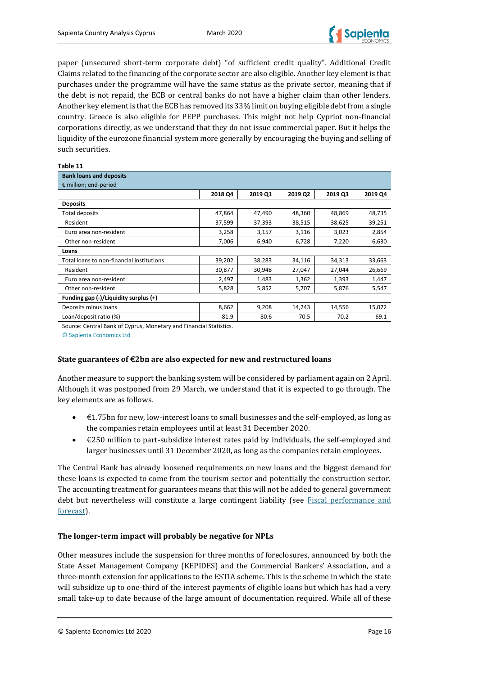

paper (unsecured short-term corporate debt) "of sufficient credit quality". Additional Credit Claims related to the financing of the corporate sector are also eligible. Another key element is that purchases under the programme will have the same status as the private sector, meaning that if the debt is not repaid, the ECB or central banks do not have a higher claim than other lenders. Another key element is that the ECB has removed its 33% limit on buying eligible debt from a single country. Greece is also eligible for PEPP purchases. This might not help Cypriot non-financial corporations directly, as we understand that they do not issue commercial paper. But it helps the liquidity of the eurozone financial system more generally by encouraging the buying and selling of such securities.

#### **Table 11**

© Sapienta Economics Ltd

| <b>Bank loans and deposits</b>                                     |         |         |         |         |         |
|--------------------------------------------------------------------|---------|---------|---------|---------|---------|
| € million; end-period                                              |         |         |         |         |         |
|                                                                    | 2018 Q4 | 2019 Q1 | 2019 Q2 | 2019 Q3 | 2019 Q4 |
| <b>Deposits</b>                                                    |         |         |         |         |         |
| <b>Total deposits</b>                                              | 47,864  | 47,490  | 48,360  | 48,869  | 48,735  |
| Resident                                                           | 37,599  | 37,393  | 38,515  | 38,625  | 39,251  |
| Euro area non-resident                                             | 3,258   | 3,157   | 3,116   | 3,023   | 2,854   |
| Other non-resident                                                 | 7,006   | 6,940   | 6,728   | 7,220   | 6,630   |
| Loans                                                              |         |         |         |         |         |
| Total loans to non-financial institutions                          | 39,202  | 38,283  | 34,116  | 34,313  | 33,663  |
| Resident                                                           | 30,877  | 30,948  | 27,047  | 27,044  | 26,669  |
| Euro area non-resident                                             | 2,497   | 1,483   | 1,362   | 1,393   | 1,447   |
| Other non-resident                                                 | 5,828   | 5,852   | 5,707   | 5,876   | 5,547   |
| Funding gap (-)/Liquidity surplus (+)                              |         |         |         |         |         |
| Deposits minus loans                                               | 8,662   | 9,208   | 14,243  | 14,556  | 15,072  |
| Loan/deposit ratio (%)                                             | 81.9    | 80.6    | 70.5    | 70.2    | 69.1    |
| Source: Central Bank of Cyprus, Monetary and Financial Statistics. |         |         |         |         |         |

### **State guarantees of €2bn are also expected for new and restructured loans**

Another measure to support the banking system will be considered by parliament again on 2 April. Although it was postponed from 29 March, we understand that it is expected to go through. The key elements are as follows.

- $\bullet$   $\in$  4.75bn for new, low-interest loans to small businesses and the self-employed, as long as the companies retain employees until at least 31 December 2020.
- €250 million to part-subsidize interest rates paid by individuals, the self-employed and larger businesses until 31 December 2020, as long as the companies retain employees.

The Central Bank has already loosened requirements on new loans and the biggest demand for these loans is expected to come from the tourism sector and potentially the construction sector. The accounting treatment for guarantees means that this will not be added to general government debt but nevertheless will constitute a large contingent liability (see Fiscal performance and [forecast\)](#page-9-0).

### **The longer-term impact will probably be negative for NPLs**

Other measures include the suspension for three months of foreclosures, announced by both the State Asset Management Company (KEPIDES) and the Commercial Bankers' Association, and a three-month extension for applications to the ESTIA scheme. This is the scheme in which the state will subsidize up to one-third of the interest payments of eligible loans but which has had a very small take-up to date because of the large amount of documentation required. While all of these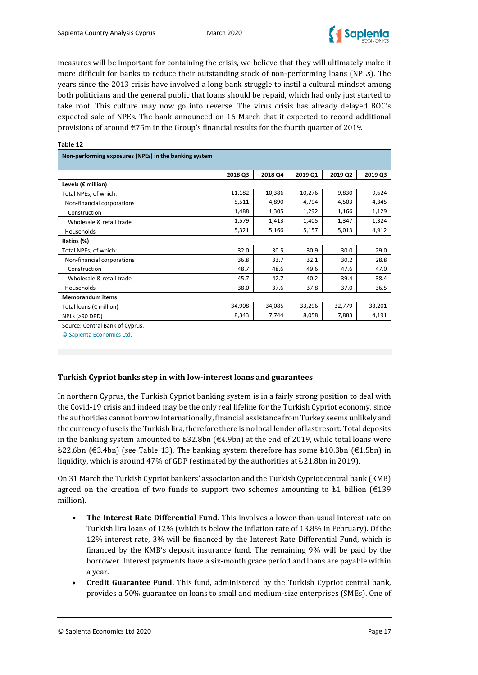

measures will be important for containing the crisis, we believe that they will ultimately make it more difficult for banks to reduce their outstanding stock of non-performing loans (NPLs). The years since the 2013 crisis have involved a long bank struggle to instil a cultural mindset among both politicians and the general public that loans should be repaid, which had only just started to take root. This culture may now go into reverse. The virus crisis has already delayed BOC's expected sale of NPEs. The bank announced on 16 March that it expected to record additional provisions of around €75m in the Group's financial results for the fourth quarter of 2019.

| Non-performing exposures (NPEs) in the banking system        |         |         |         |         |         |
|--------------------------------------------------------------|---------|---------|---------|---------|---------|
|                                                              | 2018 Q3 | 2018 Q4 | 2019 Q1 | 2019 Q2 | 2019 Q3 |
| Levels ( $\varepsilon$ million)                              |         |         |         |         |         |
| Total NPEs, of which:                                        | 11,182  | 10,386  | 10,276  | 9,830   | 9,624   |
| Non-financial corporations                                   | 5,511   | 4,890   | 4,794   | 4,503   | 4,345   |
| Construction                                                 | 1,488   | 1,305   | 1,292   | 1,166   | 1,129   |
| Wholesale & retail trade                                     | 1,579   | 1,413   | 1,405   | 1,347   | 1,324   |
| Households                                                   | 5,321   | 5,166   | 5,157   | 5,013   | 4,912   |
| Ratios (%)                                                   |         |         |         |         |         |
| Total NPEs, of which:                                        | 32.0    | 30.5    | 30.9    | 30.0    | 29.0    |
| Non-financial corporations                                   | 36.8    | 33.7    | 32.1    | 30.2    | 28.8    |
| Construction                                                 | 48.7    | 48.6    | 49.6    | 47.6    | 47.0    |
| Wholesale & retail trade                                     | 45.7    | 42.7    | 40.2    | 39.4    | 38.4    |
| Households                                                   | 38.0    | 37.6    | 37.8    | 37.0    | 36.5    |
| <b>Memorandum items</b>                                      |         |         |         |         |         |
| Total loans (€ million)                                      | 34,908  | 34,085  | 33,296  | 32,779  | 33,201  |
| <b>NPLs (&gt;90 DPD)</b>                                     | 8,343   | 7,744   | 8,058   | 7,883   | 4,191   |
| Source: Central Bank of Cyprus.<br>© Sapienta Economics Ltd. |         |         |         |         |         |

### **Turkish Cypriot banks step in with low-interest loans and guarantees**

In northern Cyprus, the Turkish Cypriot banking system is in a fairly strong position to deal with the Covid-19 crisis and indeed may be the only real lifeline for the Turkish Cypriot economy, since the authorities cannot borrow internationally, financial assistance from Turkey seems unlikely and the currency of use is the Turkish lira, therefore there is no local lender of last resort. Total deposits in the banking system amounted to  $\text{\textsterling}32.8\text{bn}$  ( $\text{\textsterling}4.9\text{bn}$ ) at the end of 2019, while total loans were  $\text{\textsterling}22.6$ bn (€3.4bn) (see Table 13). The banking system therefore has some  $\text{\textsterling}10.3$ bn (€1.5bn) in liquidity, which is around 47% of GDP (estimated by the authorities at ₺21.8bn in 2019).

On 31 March the Turkish Cypriot bankers' association and the Turkish Cypriot central bank (KMB) agreed on the creation of two funds to support two schemes amounting to  $\pm 1$  billion ( $\epsilon$ 139 million).

- **The Interest Rate Differential Fund.** This involves a lower-than-usual interest rate on Turkish lira loans of 12% (which is below the inflation rate of 13.8% in February). Of the 12% interest rate, 3% will be financed by the Interest Rate Differential Fund, which is financed by the KMB's deposit insurance fund. The remaining 9% will be paid by the borrower. Interest payments have a six-month grace period and loans are payable within a year.
- **Credit Guarantee Fund.** This fund, administered by the Turkish Cypriot central bank, provides a 50% guarantee on loans to small and medium-size enterprises (SMEs). One of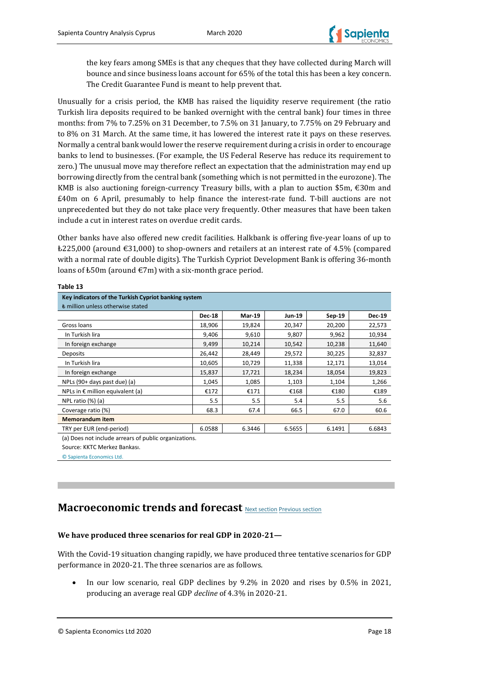

the key fears among SMEs is that any cheques that they have collected during March will bounce and since business loans account for 65% of the total this has been a key concern. The Credit Guarantee Fund is meant to help prevent that.

Unusually for a crisis period, the KMB has raised the liquidity reserve requirement (the ratio Turkish lira deposits required to be banked overnight with the central bank) four times in three months: from 7% to 7.25% on 31 December, to 7.5% on 31 January, to 7.75% on 29 February and to 8% on 31 March. At the same time, it has lowered the interest rate it pays on these reserves. Normally a central bank would lower the reserve requirement during a crisis in order to encourage banks to lend to businesses. (For example, the US Federal Reserve has reduce its requirement to zero.) The unusual move may therefore reflect an expectation that the administration may end up borrowing directly from the central bank (something which is not permitted in the eurozone). The KMB is also auctioning foreign-currency Treasury bills, with a plan to auction \$5m,  $\epsilon$ 30m and £40m on 6 April, presumably to help finance the interest-rate fund. T-bill auctions are not unprecedented but they do not take place very frequently. Other measures that have been taken include a cut in interest rates on overdue credit cards.

Other banks have also offered new credit facilities. Halkbank is offering five-year loans of up to  $\text{\pounds}225,000$  (around  $\text{\pounds}31,000$ ) to shop-owners and retailers at an interest rate of 4.5% (compared with a normal rate of double digits). The Turkish Cypriot Development Bank is offering 36-month loans of  $\text{\pounds}50m$  (around  $\text{\pounds}7m$ ) with a six-month grace period.

| Table 13                                                                                  |        |        |        |        |        |  |  |  |  |
|-------------------------------------------------------------------------------------------|--------|--------|--------|--------|--------|--|--|--|--|
| Key indicators of the Turkish Cypriot banking system<br>₺ million unless otherwise stated |        |        |        |        |        |  |  |  |  |
|                                                                                           |        |        |        |        |        |  |  |  |  |
| Gross loans                                                                               | 18,906 | 19,824 | 20,347 | 20,200 | 22,573 |  |  |  |  |
| In Turkish lira                                                                           | 9,406  | 9,610  | 9,807  | 9,962  | 10,934 |  |  |  |  |
| In foreign exchange                                                                       | 9,499  | 10,214 | 10,542 | 10,238 | 11,640 |  |  |  |  |
| <b>Deposits</b>                                                                           | 26,442 | 28,449 | 29,572 | 30,225 | 32,837 |  |  |  |  |
| In Turkish lira                                                                           | 10,605 | 10,729 | 11,338 | 12,171 | 13,014 |  |  |  |  |
| In foreign exchange                                                                       | 15,837 | 17,721 | 18,234 | 18,054 | 19,823 |  |  |  |  |
| NPLs (90+ days past due) (a)                                                              | 1,045  | 1,085  | 1,103  | 1,104  | 1,266  |  |  |  |  |
| NPLs in $\epsilon$ million equivalent (a)                                                 | €172   | €171   | €168   | €180   | €189   |  |  |  |  |
| NPL ratio $(\%)$ (a)                                                                      | 5.5    | 5.5    | 5.4    | 5.5    | 5.6    |  |  |  |  |
| Coverage ratio (%)                                                                        | 68.3   | 67.4   | 66.5   | 67.0   | 60.6   |  |  |  |  |
| <b>Memorandum item</b>                                                                    |        |        |        |        |        |  |  |  |  |
| TRY per EUR (end-period)                                                                  | 6.0588 | 6.3446 | 6.5655 | 6.1491 | 6.6843 |  |  |  |  |

(a) Does not include arrears of public organizations.

Source: KKTC Merkez Bankası.

© Sapienta Economics Ltd.

# <span id="page-19-0"></span>**Macroeconomic trends and forecast** [Next section](#page-23-0) [Previous section](#page-15-0)

### **We have produced three scenarios for real GDP in 2020-21—**

With the Covid-19 situation changing rapidly, we have produced three tentative scenarios for GDP performance in 2020-21. The three scenarios are as follows.

c

• In our low scenario, real GDP declines by 9.2% in 2020 and rises by 0.5% in 2021, producing an average real GDP *decline* of 4.3% in 2020-21.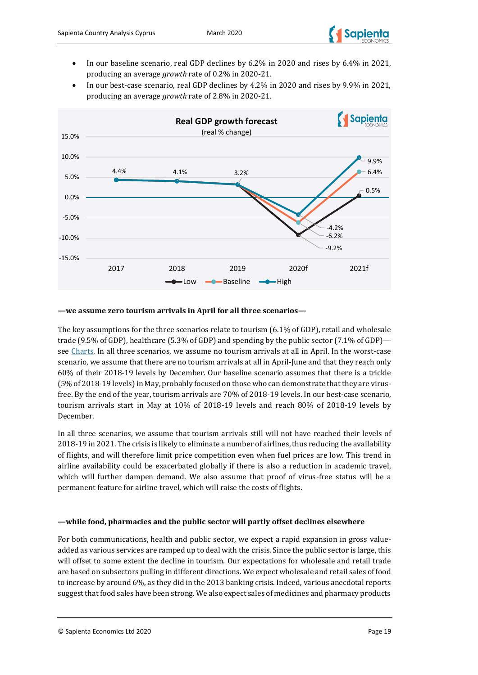

- In our baseline scenario, real GDP declines by 6.2% in 2020 and rises by 6.4% in 2021, producing an average *growth* rate of 0.2% in 2020-21.
- In our best-case scenario, real GDP declines by 4.2% in 2020 and rises by 9.9% in 2021, producing an average *growth* rate of 2.8% in 2020-21.



### **—we assume zero tourism arrivals in April for all three scenarios—**

The key assumptions for the three scenarios relate to tourism (6.1% of GDP), retail and wholesale trade (9.5% of GDP), healthcare (5.3% of GDP) and spending by the public sector (7.1% of GDP) se[e Charts.](#page-23-0) In all three scenarios, we assume no tourism arrivals at all in April. In the worst-case scenario, we assume that there are no tourism arrivals at all in April-June and that they reach only 60% of their 2018-19 levels by December. Our baseline scenario assumes that there is a trickle (5% of 2018-19 levels) in May, probably focused on those who can demonstrate that they are virusfree. By the end of the year, tourism arrivals are 70% of 2018-19 levels. In our best-case scenario, tourism arrivals start in May at 10% of 2018-19 levels and reach 80% of 2018-19 levels by December.

In all three scenarios, we assume that tourism arrivals still will not have reached their levels of 2018-19 in 2021. The crisis is likely to eliminate a number of airlines, thus reducing the availability of flights, and will therefore limit price competition even when fuel prices are low. This trend in airline availability could be exacerbated globally if there is also a reduction in academic travel, which will further dampen demand. We also assume that proof of virus-free status will be a permanent feature for airline travel, which will raise the costs of flights.

### **—while food, pharmacies and the public sector will partly offset declines elsewhere**

For both communications, health and public sector, we expect a rapid expansion in gross valueadded as various services are ramped up to deal with the crisis. Since the public sector is large, this will offset to some extent the decline in tourism. Our expectations for wholesale and retail trade are based on subsectors pulling in different directions. We expect wholesale and retail sales of food to increase by around 6%, as they did in the 2013 banking crisis. Indeed, various anecdotal reports suggest that food sales have been strong. We also expect sales of medicines and pharmacy products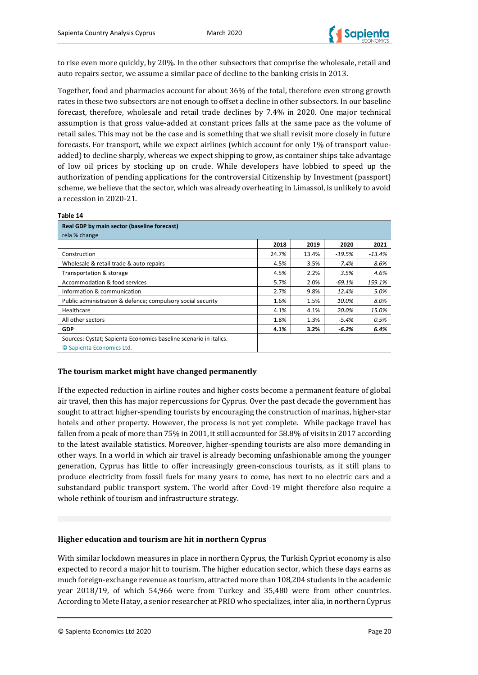

to rise even more quickly, by 20%. In the other subsectors that comprise the wholesale, retail and auto repairs sector, we assume a similar pace of decline to the banking crisis in 2013.

Together, food and pharmacies account for about 36% of the total, therefore even strong growth rates in these two subsectors are not enough to offset a decline in other subsectors. In our baseline forecast, therefore, wholesale and retail trade declines by 7.4% in 2020. One major technical assumption is that gross value-added at constant prices falls at the same pace as the volume of retail sales. This may not be the case and is something that we shall revisit more closely in future forecasts. For transport, while we expect airlines (which account for only 1% of transport valueadded) to decline sharply, whereas we expect shipping to grow, as container ships take advantage of low oil prices by stocking up on crude. While developers have lobbied to speed up the authorization of pending applications for the controversial Citizenship by Investment (passport) scheme, we believe that the sector, which was already overheating in Limassol, is unlikely to avoid a recession in 2020-21.

### **Table 14 Real GDP by main sector (baseline forecast)** rela % change **2018 2019 2020 2021** Construction 24.7% 13.4% *-19.5% -13.4%* Wholesale & retail trade & auto repairs 4.5% 3.5% *-7.4% 8.6%* Transportation & storage 4.5% 2.2% *3.5% 4.6%* Accommodation & food services 5.7% 2.0% *-69.1% 159.1%* Information & communication 2.7% 9.8% *12.4% 5.0%* Public administration & defence; compulsory social security **1.6%** 1.5% 1.5% 10.0% 8.0% Healthcare 4.1% 4.1% *20.0% 15.0%* All other sectors 1.8% 1.3% *-5.4% 0.5%* **GDP 4.1% 3.2%** *-6.2% 6.4%* Sources: Cystat; Sapienta Economics baseline scenario in italics. © Sapienta Economics Ltd.

### **The tourism market might have changed permanently**

If the expected reduction in airline routes and higher costs become a permanent feature of global air travel, then this has major repercussions for Cyprus. Over the past decade the government has sought to attract higher-spending tourists by encouraging the construction of marinas, higher-star hotels and other property. However, the process is not yet complete. While package travel has fallen from a peak of more than 75% in 2001, it still accounted for 58.8% of visits in 2017 according to the latest available statistics. Moreover, higher-spending tourists are also more demanding in other ways. In a world in which air travel is already becoming unfashionable among the younger generation, Cyprus has little to offer increasingly green-conscious tourists, as it still plans to produce electricity from fossil fuels for many years to come, has next to no electric cars and a substandard public transport system. The world after Covd-19 might therefore also require a whole rethink of tourism and infrastructure strategy.

### **Higher education and tourism are hit in northern Cyprus**

With similar lockdown measures in place in northern Cyprus, the Turkish Cypriot economy is also expected to record a major hit to tourism. The higher education sector, which these days earns as much foreign-exchange revenue as tourism, attracted more than 108,204 students in the academic year 2018/19, of which 54,966 were from Turkey and 35,480 were from other countries. According to Mete Hatay, a senior researcher at PRIO who specializes, inter alia, in northern Cyprus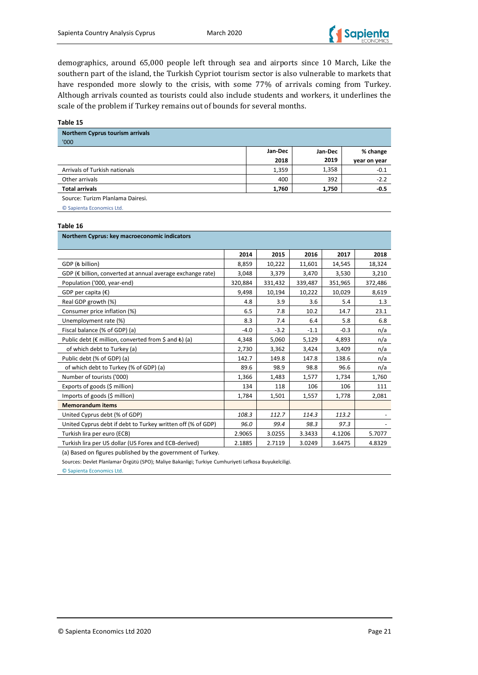

demographics, around 65,000 people left through sea and airports since 10 March, Like the southern part of the island, the Turkish Cypriot tourism sector is also vulnerable to markets that have responded more slowly to the crisis, with some 77% of arrivals coming from Turkey. Although arrivals counted as tourists could also include students and workers, it underlines the scale of the problem if Turkey remains out of bounds for several months.

**Table 15**

| <b>Northern Cyprus tourism arrivals</b> |         |         |              |
|-----------------------------------------|---------|---------|--------------|
| '000                                    |         |         |              |
|                                         | Jan-Dec | Jan-Dec | % change     |
|                                         | 2018    | 2019    | year on year |
| Arrivals of Turkish nationals           | 1,359   | 1,358   | $-0.1$       |
| Other arrivals                          | 400     | 392     | $-2.2$       |
| <b>Total arrivals</b>                   | 1,760   | 1,750   | $-0.5$       |
|                                         |         |         |              |

Source: Turizm Planlama Dairesi.

© Sapienta Economics Ltd.

#### **Table 16**

| Northern Cyprus: key macroeconomic indicators                                 |         |         |         |         |         |  |  |
|-------------------------------------------------------------------------------|---------|---------|---------|---------|---------|--|--|
|                                                                               | 2014    | 2015    | 2016    | 2017    | 2018    |  |  |
| GDP ( <i>billion</i> )                                                        | 8,859   | 10,222  | 11,601  | 14,545  | 18,324  |  |  |
| GDP (€ billion, converted at annual average exchange rate)                    | 3,048   | 3,379   | 3,470   | 3,530   | 3,210   |  |  |
| Population ('000, year-end)                                                   | 320,884 | 331,432 | 339,487 | 351,965 | 372,486 |  |  |
| GDP per capita $(\epsilon)$                                                   | 9,498   | 10,194  | 10,222  | 10,029  | 8,619   |  |  |
| Real GDP growth (%)                                                           | 4.8     | 3.9     | 3.6     | 5.4     | 1.3     |  |  |
| Consumer price inflation (%)                                                  | 6.5     | 7.8     | 10.2    | 14.7    | 23.1    |  |  |
| Unemployment rate (%)                                                         | 8.3     | 7.4     | 6.4     | 5.8     | 6.8     |  |  |
| Fiscal balance (% of GDP) (a)                                                 | $-4.0$  | $-3.2$  | $-1.1$  | $-0.3$  | n/a     |  |  |
| Public debt ( $\epsilon$ million, converted from $\zeta$ and $\epsilon$ ) (a) | 4,348   | 5,060   | 5,129   | 4,893   | n/a     |  |  |
| of which debt to Turkey (a)                                                   | 2,730   | 3,362   | 3,424   | 3,409   | n/a     |  |  |
| Public debt (% of GDP) (a)                                                    | 142.7   | 149.8   | 147.8   | 138.6   | n/a     |  |  |
| of which debt to Turkey (% of GDP) (a)                                        | 89.6    | 98.9    | 98.8    | 96.6    | n/a     |  |  |
| Number of tourists ('000)                                                     | 1,366   | 1,483   | 1,577   | 1,734   | 1,760   |  |  |
| Exports of goods (\$ million)                                                 | 134     | 118     | 106     | 106     | 111     |  |  |
| Imports of goods (\$ million)                                                 | 1,784   | 1,501   | 1,557   | 1,778   | 2,081   |  |  |
| <b>Memorandum items</b>                                                       |         |         |         |         |         |  |  |
| United Cyprus debt (% of GDP)                                                 | 108.3   | 112.7   | 114.3   | 113.2   |         |  |  |
| United Cyprus debt if debt to Turkey written off (% of GDP)                   | 96.0    | 99.4    | 98.3    | 97.3    |         |  |  |
| Turkish lira per euro (ECB)                                                   | 2.9065  | 3.0255  | 3.3433  | 4.1206  | 5.7077  |  |  |
| Turkish lira per US dollar (US Forex and ECB-derived)                         | 2.1885  | 2.7119  | 3.0249  | 3.6475  | 4.8329  |  |  |

(a) Based on figures published by the government of Turkey.

Sources: Devlet Planlamar Örgütü (SPO); Maliye Bakanligi; Turkiye Cumhuriyeti Lefkosa Buyukelciligi.

© Sapienta Economics Ltd.